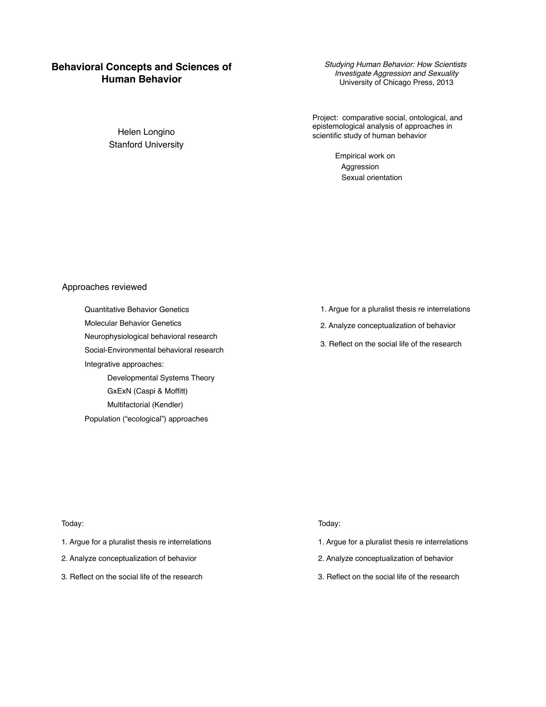# **Behavioral Concepts and Sciences of Human Behavior**

*Studying Human Behavior: How Scientists Investigate Aggression and Sexuality* University of Chicago Press, 2013

Project: comparative social, ontological, and epistemological analysis of approaches in scientific study of human behavior

> Empirical work on Aggression Sexual orientation

# Approaches reviewed

Quantitative Behavior Genetics Molecular Behavior Genetics Neurophysiological behavioral research Social-Environmental behavioral research Integrative approaches: Developmental Systems Theory GxExN (Caspi & Moffitt) Multifactorial (Kendler) Population ("ecological") approaches

- 1. Argue for a pluralist thesis re interrelations
- 2. Analyze conceptualization of behavior
- 3. Reflect on the social life of the research

#### Today:

- 1. Argue for a pluralist thesis re interrelations
- 2. Analyze conceptualization of behavior
- 3. Reflect on the social life of the research

## Today:

- 1. Argue for a pluralist thesis re interrelations
- 2. Analyze conceptualization of behavior
- 3. Reflect on the social life of the research

Helen Longino Stanford University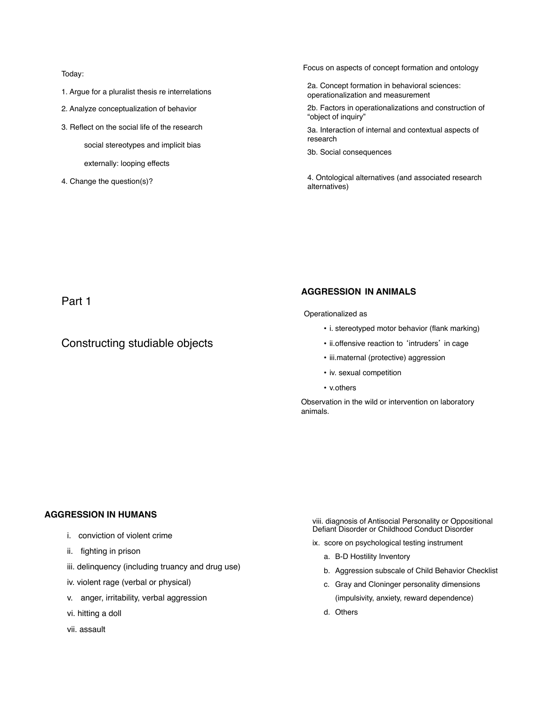Today:

- 1. Argue for a pluralist thesis re interrelations
- 2. Analyze conceptualization of behavior
- 3. Reflect on the social life of the research

social stereotypes and implicit bias

externally: looping effects

4. Change the question(s)?

Focus on aspects of concept formation and ontology

2a. Concept formation in behavioral sciences: operationalization and measurement

2b. Factors in operationalizations and construction of "object of inquiry"

3a. Interaction of internal and contextual aspects of research

3b. Social consequences

4. Ontological alternatives (and associated research alternatives)

Part 1

# Constructing studiable objects

# **AGGRESSION IN ANIMALS**

Operationalized as

- i. stereotyped motor behavior (flank marking)
- ii. offensive reaction to 'intruders' in cage
- iii.maternal (protective) aggression
- iv. sexual competition
- v.others

Observation in the wild or intervention on laboratory animals.

# **AGGRESSION IN HUMANS**

- i. conviction of violent crime
- ii. fighting in prison
- iii. delinquency (including truancy and drug use)
- iv. violent rage (verbal or physical)
- v. anger, irritability, verbal aggression
- vi. hitting a doll
- vii. assault

viii. diagnosis of Antisocial Personality or Oppositional Defiant Disorder or Childhood Conduct Disorder

ix. score on psychological testing instrument

- a. B-D Hostility Inventory
- b. Aggression subscale of Child Behavior Checklist
- c. Gray and Cloninger personality dimensions (impulsivity, anxiety, reward dependence)
- d. Others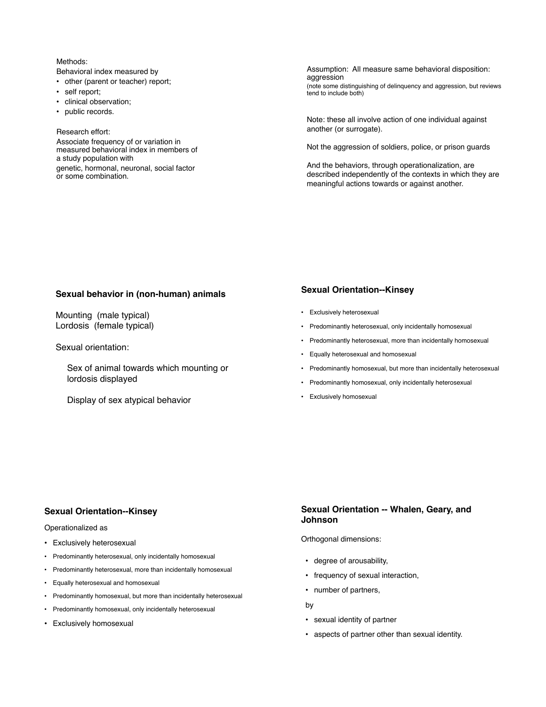# Methods:

Behavioral index measured by

- other (parent or teacher) report;
- self report;
- clinical observation;
- public records.

#### Research effort:

Associate frequency of or variation in measured behavioral index in members of a study population with genetic, hormonal, neuronal, social factor or some combination.

Assumption: All measure same behavioral disposition: aggression (note some distinguishing of delinquency and aggression, but reviews tend to include both)

Note: these all involve action of one individual against another (or surrogate).

Not the aggression of soldiers, police, or prison guards

And the behaviors, through operationalization, are described independently of the contexts in which they are meaningful actions towards or against another.

# **Sexual behavior in (non-human) animals**

Mounting (male typical) Lordosis (female typical)

Sexual orientation:

Sex of animal towards which mounting or lordosis displayed

Display of sex atypical behavior

# **Sexual Orientation--Kinsey**

- Exclusively heterosexual
- Predominantly heterosexual, only incidentally homosexual
- Predominantly heterosexual, more than incidentally homosexual
- Equally heterosexual and homosexual
- Predominantly homosexual, but more than incidentally heterosexual
- Predominantly homosexual, only incidentally heterosexual
- Exclusively homosexual

### **Sexual Orientation--Kinsey**

Operationalized as

- Exclusively heterosexual
- Predominantly heterosexual, only incidentally homosexual
- Predominantly heterosexual, more than incidentally homosexual
- Equally heterosexual and homosexual
- Predominantly homosexual, but more than incidentally heterosexual
- Predominantly homosexual, only incidentally heterosexual
- Exclusively homosexual

# **Sexual Orientation -- Whalen, Geary, and Johnson**

Orthogonal dimensions:

- degree of arousability,
- frequency of sexual interaction,
- number of partners,

by

- sexual identity of partner
- aspects of partner other than sexual identity.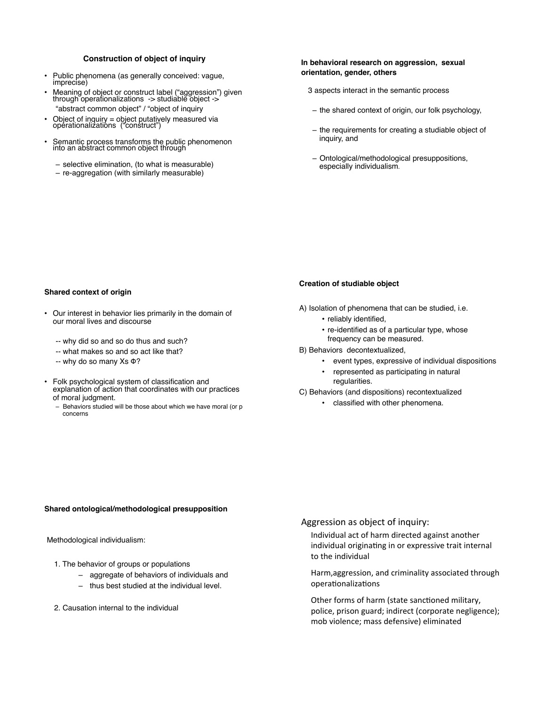### **Construction of object of inquiry**

- Public phenomena (as generally conceived: vague, imprecise)
- Meaning of object or construct label ("aggression") given through operationalizations -> studiable object -> "abstract common object" / "object of inquiry
- Object of inquiry = object putatively measured via operationalizations ("construct")
- Semantic process transforms the public phenomenon into an abstract common object through
	- selective elimination, (to what is measurable)
	- re-aggregation (with similarly measurable)

# **In behavioral research on aggression, sexual orientation, gender, others**

- 3 aspects interact in the semantic process
- the shared context of origin, our folk psychology,
- the requirements for creating a studiable object of inquiry, and
- Ontological/methodological presuppositions, especially individualism.

#### **Shared context of origin**

- Our interest in behavior lies primarily in the domain of our moral lives and discourse
	- -- why did so and so do thus and such?
	- -- what makes so and so act like that?
	- -- why do so many Xs Φ?
- Folk psychological system of classification and explanation of action that coordinates with our practices of moral judgment.
	- Behaviors studied will be those about which we have moral (or p concerns

### **Creation of studiable object**

- A) Isolation of phenomena that can be studied, i.e.
	- reliably identified,
	- re-identified as of a particular type, whose
	- frequency can be measured.
- B) Behaviors decontextualized,
	- event types, expressive of individual dispositions
	- represented as participating in natural regularities.
- C) Behaviors (and dispositions) recontextualized
	- classified with other phenomena.

#### **Shared ontological/methodological presupposition**

#### Methodological individualism:

- 1. The behavior of groups or populations
	- aggregate of behaviors of individuals and
	- thus best studied at the individual level.
- 2. Causation internal to the individual

# Aggression as object of inquiry:

Individual act of harm directed against another individual originating in or expressive trait internal to the individual

Harm, aggression, and criminality associated through operationalizations

Other forms of harm (state sanctioned military, police, prison guard; indirect (corporate negligence); mob violence; mass defensive) eliminated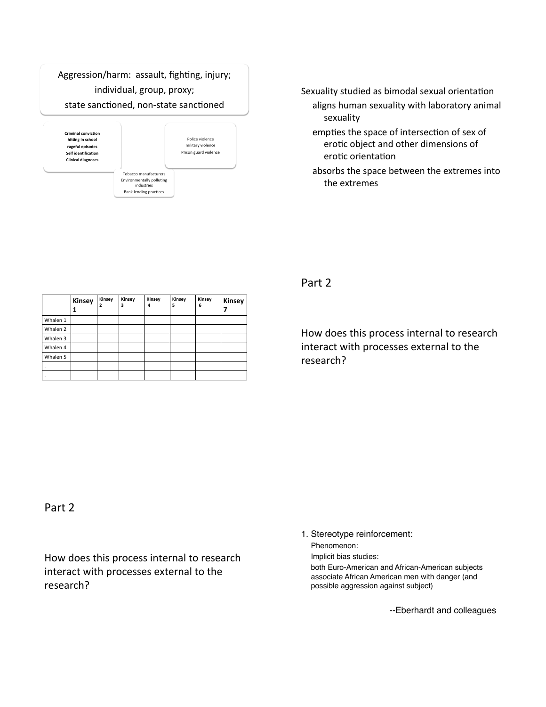# Aggression/harm: assault, fighting, injury; individual, group, proxy; state sanctioned, non-state sanctioned



Sexuality studied as bimodal sexual orientation aligns human sexuality with laboratory animal sexuality

- empties the space of intersection of sex of erotic object and other dimensions of erotic orientation
- absorbs the space between the extremes into the extremes

Part<sub>2</sub>

How does this process internal to research interact with processes external to the research?)

|          | Kinsey | Kinsey<br>2 | Kinsey<br>3 | Kinsey<br>4 | Kinsey<br>5 | Kinsey<br>6 | Kinsey |
|----------|--------|-------------|-------------|-------------|-------------|-------------|--------|
| Whalen 1 |        |             |             |             |             |             |        |
| Whalen 2 |        |             |             |             |             |             |        |
| Whalen 3 |        |             |             |             |             |             |        |
| Whalen 4 |        |             |             |             |             |             |        |
| Whalen 5 |        |             |             |             |             |             |        |
| $\cdot$  |        |             |             |             |             |             |        |
| ٠        |        |             |             |             |             |             |        |

Part<sub>2</sub>

How does this process internal to research interact with processes external to the research?)

1. Stereotype reinforcement:

Phenomenon:

Implicit bias studies:

both Euro-American and African-American subjects associate African American men with danger (and possible aggression against subject)

--Eberhardt and colleagues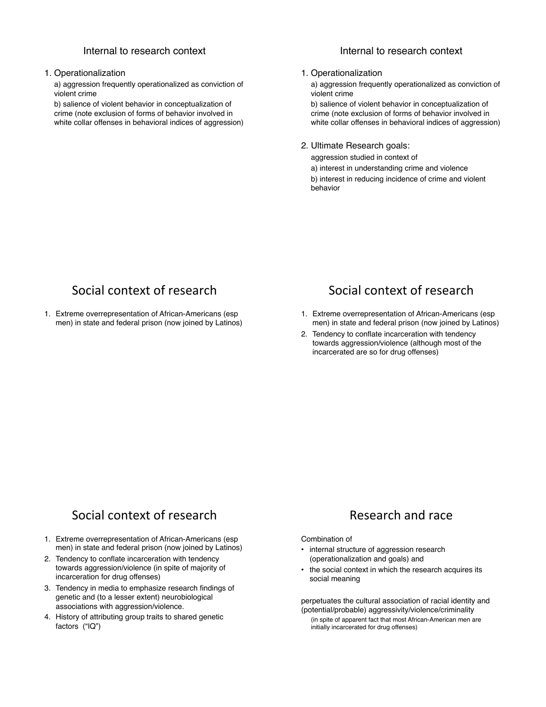# Internal to research context

# 1. Operationalization

a) aggression frequently operationalized as conviction of violent crime

b) salience of violent behavior in conceptualization of crime (note exclusion of forms of behavior involved in white collar offenses in behavioral indices of aggression)

# Internal to research context

### 1. Operationalization

a) aggression frequently operationalized as conviction of violent crime

b) salience of violent behavior in conceptualization of crime (note exclusion of forms of behavior involved in white collar offenses in behavioral indices of aggression)

# 2. Ultimate Research goals:

aggression studied in context of a) interest in understanding crime and violence b) interest in reducing incidence of crime and violent behavior

# Social context of research

1. Extreme overrepresentation of African-Americans (esp men) in state and federal prison (now joined by Latinos)

# Social context of research

- 1. Extreme overrepresentation of African-Americans (esp men) in state and federal prison (now joined by Latinos)
- 2. Tendency to conflate incarceration with tendency towards aggression/violence (although most of the incarcerated are so for drug offenses)

# Social context of research

- 1. Extreme overrepresentation of African-Americans (esp men) in state and federal prison (now joined by Latinos)
- 2. Tendency to conflate incarceration with tendency towards aggression/violence (in spite of majority of incarceration for drug offenses)
- 3. Tendency in media to emphasize research findings of genetic and (to a lesser extent) neurobiological associations with aggression/violence.
- 4. History of attributing group traits to shared genetic factors ("IQ")

# Research and race

# Combination of

- internal structure of aggression research (operationalization and goals) and
- the social context in which the research acquires its social meaning

perpetuates the cultural association of racial identity and (potential/probable) aggressivity/violence/criminality

(in spite of apparent fact that most African-American men are initially incarcerated for drug offenses)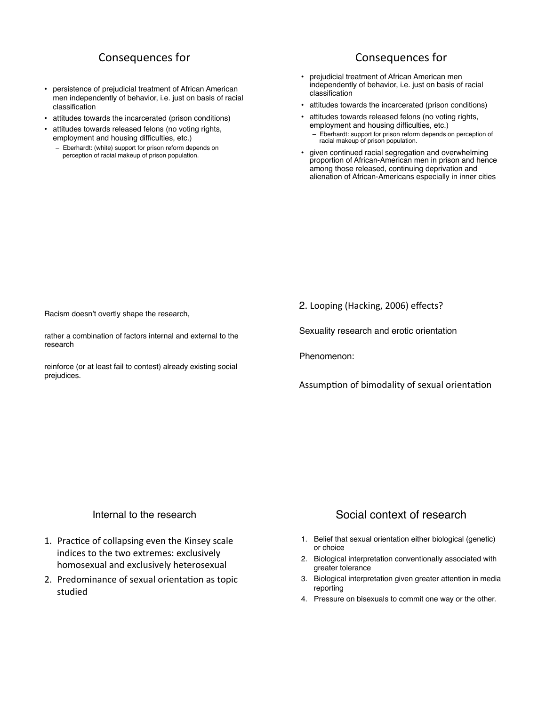# Consequences for

- persistence of prejudicial treatment of African American men independently of behavior, i.e. just on basis of racial classification
- attitudes towards the incarcerated (prison conditions)
- attitudes towards released felons (no voting rights, employment and housing difficulties, etc.)
	- Eberhardt: (white) support for prison reform depends on perception of racial makeup of prison population.

# Consequences for

- prejudicial treatment of African American men independently of behavior, i.e. just on basis of racial classification
- attitudes towards the incarcerated (prison conditions)
- attitudes towards released felons (no voting rights, employment and housing difficulties, etc.) – Eberhardt: support for prison reform depends on perception of racial makeup of prison population.
- given continued racial segregation and overwhelming proportion of African-American men in prison and hence among those released, continuing deprivation and alienation of African-Americans especially in inner cities

Racism doesn't overtly shape the research,

rather a combination of factors internal and external to the research

reinforce (or at least fail to contest) already existing social prejudices.

2. Looping (Hacking, 2006) effects?

Sexuality research and erotic orientation

Phenomenon:

Assumption of bimodality of sexual orientation

# Internal to the research

- 1. Practice of collapsing even the Kinsey scale indices to the two extremes: exclusively homosexual and exclusively heterosexual
- 2. Predominance of sexual orientation as topic studied)

# Social context of research

- 1. Belief that sexual orientation either biological (genetic) or choice
- 2. Biological interpretation conventionally associated with greater tolerance
- 3. Biological interpretation given greater attention in media reporting
- 4. Pressure on bisexuals to commit one way or the other.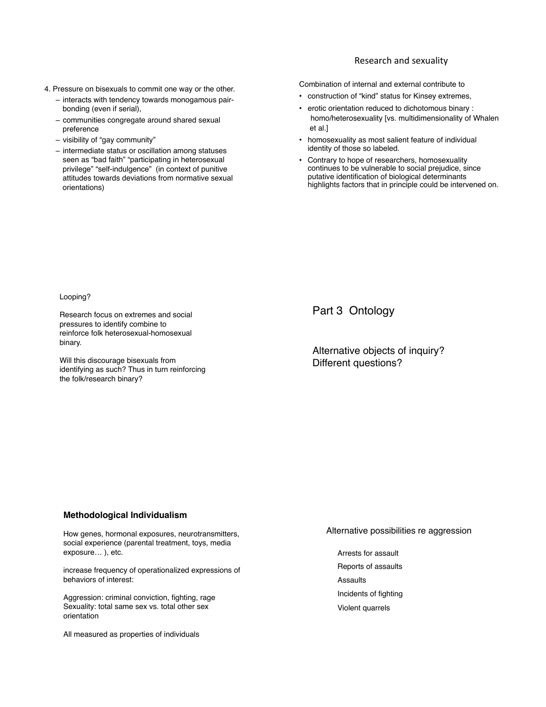# Research and sexuality

- 4. Pressure on bisexuals to commit one way or the other.
	- interacts with tendency towards monogamous pairbonding (even if serial),
	- communities congregate around shared sexual preference
	- visibility of "gay community"
	- intermediate status or oscillation among statuses seen as "bad faith" "participating in heterosexual privilege" "self-indulgence" (in context of punitive attitudes towards deviations from normative sexual orientations)

Combination of internal and external contribute to

- construction of "kind" status for Kinsey extremes,
- erotic orientation reduced to dichotomous binary : homo/heterosexuality [vs. multidimensionality of Whalen et al.]
- homosexuality as most salient feature of individual identity of those so labeled.
- Contrary to hope of researchers, homosexuality continues to be vulnerable to social prejudice, since putative identification of biological determinants highlights factors that in principle could be intervened on.

Looping?

Research focus on extremes and social pressures to identify combine to reinforce folk heterosexual-homosexual binary.

Will this discourage bisexuals from identifying as such? Thus in turn reinforcing the folk/research binary?

Part 3 Ontology

Alternative objects of inquiry? Different questions?

# **Methodological Individualism**

How genes, hormonal exposures, neurotransmitters, social experience (parental treatment, toys, media exposure… ), etc.

increase frequency of operationalized expressions of behaviors of interest:

Aggression: criminal conviction, fighting, rage Sexuality: total same sex vs. total other sex orientation

All measured as properties of individuals

Alternative possibilities re aggression

Arrests for assault Reports of assaults Assaults Incidents of fighting Violent quarrels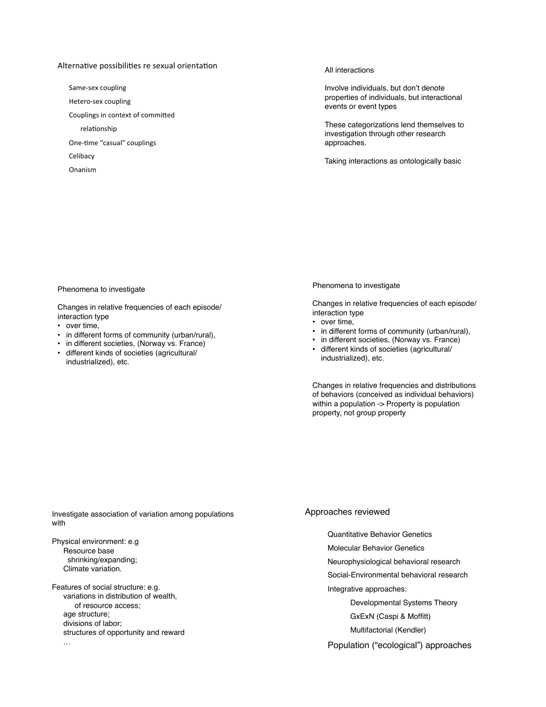# Alternative possibilities re sexual orientation

Same-sex coupling

Hetero-sex coupling

Couplings in context of committed

relationship

One-time "casual" couplings

**Celibacy** 

Onanism)

#### All interactions

Involve individuals, but don't denote properties of individuals, but interactional events or event types

These categorizations lend themselves to investigation through other research approaches.

Taking interactions as ontologically basic

#### Phenomena to investigate

Changes in relative frequencies of each episode/ interaction type

- over time,
- in different forms of community (urban/rural),
- in different societies, (Norway vs. France)
- different kinds of societies (agricultural/ industrialized), etc.

#### Phenomena to investigate

Changes in relative frequencies of each episode/ interaction type

- over time,
- in different forms of community (urban/rural),
- in different societies, (Norway vs. France)
- different kinds of societies (agricultural/ industrialized), etc.

Changes in relative frequencies and distributions of behaviors (conceived as individual behaviors) within a population -> Property is population property, not group property

Investigate association of variation among populations with

Physical environment: e.g Resource base shrinking/expanding; Climate variation.

Features of social structure: e.g. variations in distribution of wealth, of resource access; age structure; divisions of labor; structures of opportunity and reward …

### Approaches reviewed

Quantitative Behavior Genetics

Molecular Behavior Genetics

Neurophysiological behavioral research

Social-Environmental behavioral research

Integrative approaches:

Developmental Systems Theory

GxExN (Caspi & Moffitt)

Multifactorial (Kendler)

Population ("ecological") approaches